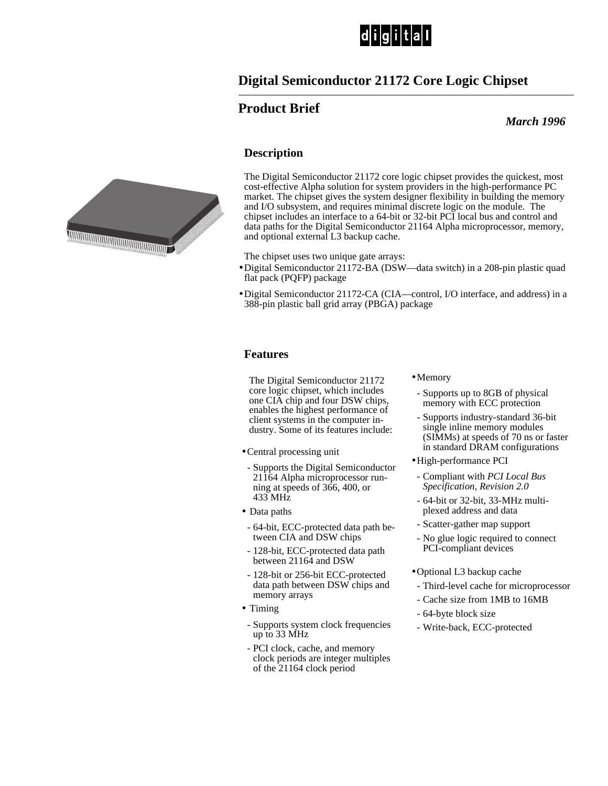

# **Digital Semiconductor 21172 Core Logic Chipset**

## **Product Brief**

 *March 1996*

### **Description**

The Digital Semiconductor 21172 core logic chipset provides the quickest, most cost-effective Alpha solution for system providers in the high-performance PC market. The chipset gives the system designer flexibility in building the memory and I/O subsystem, and requires minimal discrete logic on the module. The chipset includes an interface to a 64-bit or 32-bit PCI local bus and control and data paths for the Digital Semiconductor 21164 Alpha microprocessor, memory, and optional external L3 backup cache.

The chipset uses two unique gate arrays:

- •Digital Semiconductor 21172-BA (DSW—data switch) in a 208-pin plastic quad flat pack (PQFP) package
- •Digital Semiconductor 21172-CA (CIA—control, I/O interface, and address) in a 388-pin plastic ball grid array (PBGA) package

#### **Features**

The Digital Semiconductor 21172 core logic chipset, which includes one CIA chip and four DSW chips, enables the highest performance of client systems in the computer industry. Some of its features include:

- •Central processing unit
- Supports the Digital Semiconductor 21164 Alpha microprocessor running at speeds of 366, 400, or 433 MHz
- Data paths
- 64-bit, ECC-protected data path between CIA and DSW chips
- 128-bit, ECC-protected data path between 21164 and DSW
- 128-bit or 256-bit ECC-protected data path between DSW chips and memory arrays
- Timing
- Supports system clock frequencies up to 33 MHz
- PCI clock, cache, and memory clock periods are integer multiples of the 21164 clock period
- Memory
	- Supports up to 8GB of physical memory with ECC protection
	- Supports industry-standard 36-bit single inline memory modules (SIMMs) at speeds of 70 ns or faster in standard DRAM configurations
- •High-performance PCI
	- Compliant with *PCI Local Bus Specification, Revision 2.0*
- 64-bit or 32-bit, 33-MHz multiplexed address and data
- Scatter-gather map support
- No glue logic required to connect PCI-compliant devices
- •Optional L3 backup cache
- Third-level cache for microprocessor
- Cache size from 1MB to 16MB
- 64-byte block size
- Write-back, ECC-protected